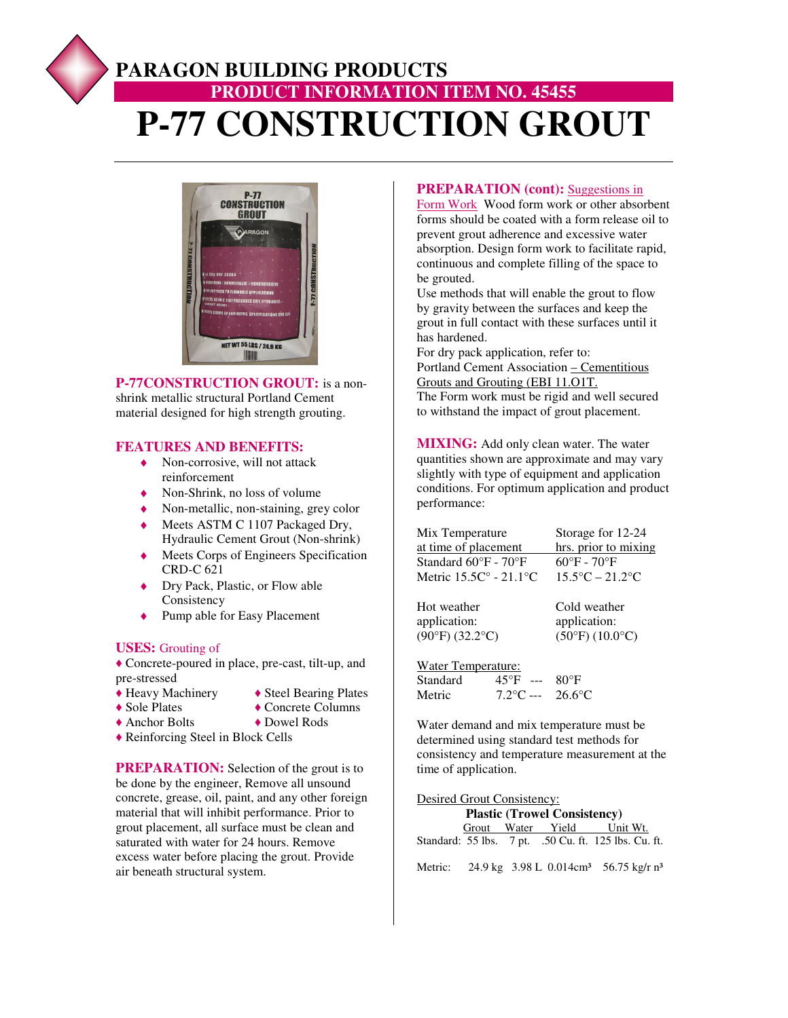# **PARAGON BUILDING PRODUCTS PRODUCT INFORMATION ITEM NO. 45455 P-77 CONSTRUCTION GROUT**



**P-77CONSTRUCTION GROUT:** is a nonshrink metallic structural Portland Cement material designed for high strength grouting.

#### **FEATURES AND BENEFITS:**

- $\bullet$  Non-corrosive, will not attack reinforcement
- $\bullet$  Non-Shrink, no loss of volume
- Non-metallic, non-staining, grey color
- ◆ Meets ASTM C 1107 Packaged Dry, Hydraulic Cement Grout (Non-shrink)
- ♦ Meets Corps of Engineers Specification CRD-C 621
- ◆ Dry Pack, Plastic, or Flow able Consistency
- ◆ Pump able for Easy Placement

#### **USES:** Grouting of

**♦** Concrete-poured in place, pre-cast, tilt-up, and pre-stressed<br>◆ Heavy Machinery

- 
- **♦** Heavy Machinery **♦** Steel Bearing Plates ◆ Concrete Columns
- **♦** Anchor Bolts **♦** Dowel Rods
- **♦** Reinforcing Steel in Block Cells
- **PREPARATION:** Selection of the grout is to be done by the engineer, Remove all unsound concrete, grease, oil, paint, and any other foreign material that will inhibit performance. Prior to grout placement, all surface must be clean and saturated with water for 24 hours. Remove excess water before placing the grout. Provide air beneath structural system.

#### **PREPARATION (cont):** Suggestions in

Form Work Wood form work or other absorbent forms should be coated with a form release oil to prevent grout adherence and excessive water absorption. Design form work to facilitate rapid, continuous and complete filling of the space to be grouted.

Use methods that will enable the grout to flow by gravity between the surfaces and keep the grout in full contact with these surfaces until it has hardened.

For dry pack application, refer to: Portland Cement Association – Cementitious Grouts and Grouting (EBI 11.O1T. The Form work must be rigid and well secured

to withstand the impact of grout placement.

**MIXING:** Add only clean water. The water quantities shown are approximate and may vary slightly with type of equipment and application conditions. For optimum application and product performance:

| Mix Temperature                           | Storage for 12-24                    |
|-------------------------------------------|--------------------------------------|
| at time of placement                      | hrs. prior to mixing                 |
| Standard $60^{\circ}$ F - $70^{\circ}$ F  | $60^{\circ}$ F - 70 $^{\circ}$ F     |
| Metric $15.5C^{\circ}$ - $21.1^{\circ}$ C | $15.5^{\circ}$ C – 21.2 $^{\circ}$ C |
|                                           |                                      |

Hot weather Cold weather application:  $application: (90°F) (32.2°C)$   $(50°F) (10.0$ 

 $(50^{\circ}F)(10.0^{\circ}C)$ 

Water Temperature:

| Standard | $45^{\circ}F$<br>$---$ | $80^{\circ}$ F   |
|----------|------------------------|------------------|
| Metric   | $7.2$ °C ---           | $26.6^{\circ}$ C |

Water demand and mix temperature must be determined using standard test methods for consistency and temperature measurement at the time of application.

| Desired Grout Consistency:          |  |  |  |                                                      |
|-------------------------------------|--|--|--|------------------------------------------------------|
| <b>Plastic (Trowel Consistency)</b> |  |  |  |                                                      |
|                                     |  |  |  | Grout Water Yield Unit Wt.                           |
|                                     |  |  |  | Standard: 55 lbs. 7 pt. .50 Cu. ft. 125 lbs. Cu. ft. |

Metric: 24.9 kg 3.98 L 0.014cm<sup>3</sup> 56.75 kg/r n<sup>3</sup>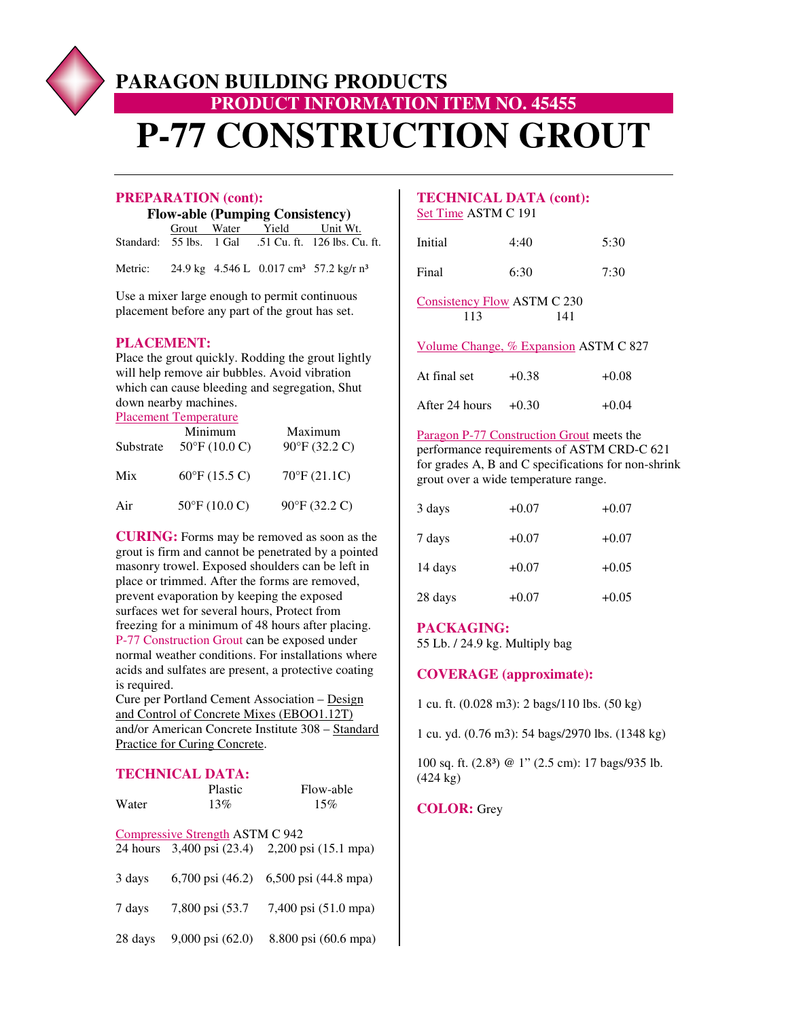# **PARAGON BUILDING PRODUCTS PRODUCT INFORMATION ITEM NO. 45455 P-77 CONSTRUCTION GROUT**

#### **PREPARATION (cont):**

**Flow-able (Pumping Consistency)** 

|  | Grout Water Yield Unit Wt. |                                                     |
|--|----------------------------|-----------------------------------------------------|
|  |                            | Standard: 55 lbs. 1 Gal 51 Cu. ft. 126 lbs. Cu. ft. |

Metric: 24.9 kg 4.546 L 0.017 cm<sup>3</sup> 57.2 kg/r n<sup>3</sup>

Use a mixer large enough to permit continuous placement before any part of the grout has set.

### **PLACEMENT:**

Place the grout quickly. Rodding the grout lightly will help remove air bubbles. Avoid vibration which can cause bleeding and segregation, Shut down nearby machines.

Placement Temperature

| Substrate | Minimum<br>$50^{\circ}$ F (10.0 C) | Maximum<br>$90^{\circ}$ F (32.2 C) |
|-----------|------------------------------------|------------------------------------|
| Mix       | $60^{\circ}$ F (15.5 C)            | $70^{\circ}$ F $(21.1C)$           |
| Air       | $50^{\circ}$ F (10.0 C)            | 90°F (32.2 C)                      |

**CURING:** Forms may be removed as soon as the grout is firm and cannot be penetrated by a pointed masonry trowel. Exposed shoulders can be left in place or trimmed. After the forms are removed, prevent evaporation by keeping the exposed surfaces wet for several hours, Protect from freezing for a minimum of 48 hours after placing. P-77 Construction Grout can be exposed under normal weather conditions. For installations where acids and sulfates are present, a protective coating is required.

Cure per Portland Cement Association – Design and Control of Concrete Mixes (EBOO1.12T) and/or American Concrete Institute 308 – Standard Practice for Curing Concrete.

## **TECHNICAL DATA:**

| Water   | Plastic<br>13%                         | Flow-able<br>15%                               |
|---------|----------------------------------------|------------------------------------------------|
|         | <b>Compressive Strength ASTM C 942</b> | 24 hours 3,400 psi (23.4) 2,200 psi (15.1 mpa) |
| 3 days  | $6,700 \text{ psi} (46.2)$             | 6,500 psi (44.8 mpa)                           |
| 7 days  | 7,800 psi (53.7)                       | 7,400 psi (51.0 mpa)                           |
| 28 days | 9,000 psi (62.0)                       | 8.800 psi (60.6 mpa)                           |

## **TECHNICAL DATA (cont):**  Set Time ASTM C 191

| Initial | 4:40 | 5:30 |
|---------|------|------|
| Final   | 6:30 | 7:30 |

Consistency Flow ASTM C 230 113 141

Volume Change, % Expansion ASTM C 827

| At final set   | $+0.38$ | $+0.08$ |
|----------------|---------|---------|
| After 24 hours | $+0.30$ | $+0.04$ |

Paragon P-77 Construction Grout meets the performance requirements of ASTM CRD-C 621 for grades A, B and C specifications for non-shrink grout over a wide temperature range.

| 3 days  | $+0.07$ | $+0.07$ |
|---------|---------|---------|
| 7 days  | $+0.07$ | $+0.07$ |
| 14 days | $+0.07$ | $+0.05$ |
| 28 days | $+0.07$ | $+0.05$ |

#### **PACKAGING:**

55 Lb. / 24.9 kg. Multiply bag

#### **COVERAGE (approximate):**

1 cu. ft. (0.028 m3): 2 bags/110 lbs. (50 kg)

1 cu. yd. (0.76 m3): 54 bags/2970 lbs. (1348 kg)

100 sq. ft. (2.8<sup>3</sup>) @ 1" (2.5 cm): 17 bags/935 lb. (424 kg)

#### **COLOR:** Grey